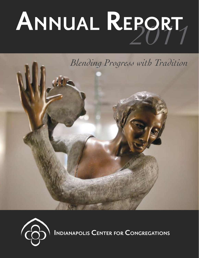# *2011* **Annual Report**





**Indianapolis Center for Congregations**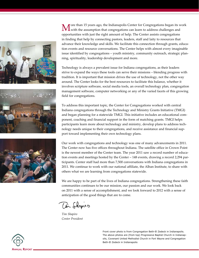





ore than 15 years ago, the Indianapolis Center for Congregations began its work **L** with the assumption that congregations can learn to address challenges and opportunities with just the right amount of help. The Center assists congregations in finding that help by connecting pastors, leaders, staff and laity to resources that advance their knowledge and skills. We facilitate this connection through grants, education events and resource conversations. The Center helps with almost every imaginable issue identified by congregations – youth ministry, community outreach, strategic planning, spirituality, leadership development and more.

Technology is always a prevalent issue for Indiana congregations, as their leaders strive to expand the ways these tools can serve their missions – blending progress with tradition. It is important that mission drives the use of technology, not the other way around. The Center looks for the best resources to facilitate this balance, whether it involves scripture software, social media tools, an overall technology plan, congregation management software, computer networking or any of the varied facets of this growing field for congregations.

To address this important topic, the Center for Congregations worked with central Indiana congregations through the Technology and Ministry Grants Initiative (TMGI) and began planning for a statewide TMGI. This initiative includes an educational component, coaching and financial support in the form of matching grants. TMGI helps participants learn more about technology and ministry, develop plans to address technology needs unique to their congregations, and receive assistance and financial support toward implementing their own technology plans.

Our work with congregations and technology was one of many advancements in 2011. The Center now has five offices throughout Indiana. The satellite office in Crown Point is the newest member of the Center team. The year 2011 saw a record number of education events and meetings hosted by the Center – 148 events, drawing a record 2,294 participants. Center staff had more than 7,500 conversations with Indiana congregations in 2011. We continue to work with our national affiliate, the Alban Institute, to share with others what we are learning from congregations statewide.

We are happy to be part of the lives of Indiana congregations. Strengthening these faith communities continues to be our mission, our passion and our work. We look back on 2011 with a sense of accomplishment, and we look forward to 2012 with a sense of anticipation of the good things that are to come.

Din Shapero

*Tim Shapiro Center President*

Front cover photo is from Congregation Beth-El Zedeck in Indianapolis. The above photos are (from top) Progressive Baptist Church in Indianapolis, Covenant United Methodist Church in Fort Wayne and Congregation Beth-El Zedeck in Indianapolis

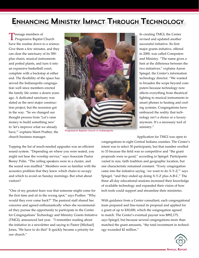# **Enhancing Ministry Impact Through Technology**

Teenage members of<br>
Progressive Baptist Church have the routine down to a science. Give them a few minutes, and they can clear the sanctuary of its 500 plus chairs, musical instruments and potted plants, and turn it into an expansive basketball court, complete with a backstop at either end. The flexibility of the space has served the Indianapolis congregation well since members erected the family life center a dozen years ago. A dedicated sanctuary was slated as the next major construction project, but the recession got in the way. "So we changed our thought process from 'Let's raise money to build something new' to 'let's improve what we already have,'" explains Marti Prather, the church business manager.



Progressive Baptist Church in Indianapolis

In creating TMGI, the Center revised and updated another successful initiative. Its first major grants initiative, offered in 2000, was called Computers and Ministry. "The name gives a hint at the difference between the two initiatives," explains Aaron Spiegel, the Center's information technology director. "We wanted to broaden the scope beyond computers because technology now affects everything from theatrical lighting to musical instruments to smart phones to heating and cooling systems. Congregations have embraced the reality that technology isn't a choice or a luxury anymore. It's a necessary tool of ministry."

Application for TMGI was open to

Topping the list of much-needed upgrades was an efficient sound system. "Depending on where you were seated, you might not hear the worship service," says Associate Pastor Benny Polin. "The ceiling speakers were in a cluster, and the sound was muffled." Members were so familiar with the acoustics problem that they knew which chairs to occupy and which to avoid on Sunday mornings. But what about visitors?

"One of my greatest fears was that someone might come for the first time and sit in the wrong spot," says Prather. "Why would they ever come back?" The pastoral staff shared her concerns and agreed enthusiastically when she recommended they pursue the opportunity to participate in the Center for Congregations' Technology and Ministry Grants Initiative (TMGI), announced last year. "I remember reading about the initiative in a newsletter and saying to Pastor [Michael] Jones, 'We have to do this!' It quickly became a priority for our church."

congregations in eight Central Indiana counties. The Center's intent was to select 30 participants, but that number swelled to 33 because the field was so competitive and "the grant proposals were so good," according to Spiegel. Participants varied in size, faith tradition and geographic location, but one characteristic remained constant. "Every congregation came into the initiative saying, 'we want to do X-Y-Z,'" says Spiegel, "and they ended up doing X-Y-Z plus A-B-C." The three all-day educational sessions increased their knowledge of available technology and expanded their vision of how tech tools could support and streamline their ministries.

With guidance from a Center consultant, each congregational team prepared and fine-tuned its proposal and applied for a grant of up to \$30,000, which the congregation agreed to match. The Center's eventual payout was \$892,175, says Spiegel, but because several congregations more than matched the grant amounts, "the total investment in technology exceeded \$2 million."

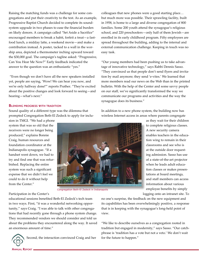Raising the matching funds was a challenge for some congregations and put their creativity to the test. As an example, Progressive Baptist Church decided to complete its soundsystem upgrade in two phases to ease the financial burden on likely donors. A campaign called "Set Aside a Sacrifice" encouraged members to break a habit, forfeit a treat—a fastfood lunch, a midday latte, a weekend movie—and make a contribution instead. A poster, tacked to a wall in the worship area, depicted a thermometer inching upward toward the \$30,000 goal. The campaign's tagline asked: "Progressive, Can You Hear Me Now?" Early feedback indicated the answer to the question was an enthusiastic "yes."

 "Even though we don't have all the new speakers installed yet, people are saying, 'Wow! We can hear you now, and we're only halfway done!'" reports Prather. "They're excited about the positive changes and look forward to seeing—and hearing—what's next."

## **Blending progress with tradition**

Sound quality of a different type was the dilemma that prompted Congregation Beth-El Zedeck to apply for inclu-

sion in TMGI. "We had a phone system that was so old that the receivers were no longer being produced," explains Bonnie Craig, human resources and foundation coordinator at the Indianapolis synagogue. "If a handset went down, we had to try and find one that was refurbished. Replacing the entire system was such a significant expense that we didn't feel we could to do it without help from the Center."



Congregation Beth-El Zedeck in Indianapolis

colleagues that new phones were a good starting place… but much more was possible. Their sprawling facility, built in 1958, is home to a large and diverse congregation of 800 families. Some 200 youth attend the synagogue's religious school, and 220 preschoolers—only half of them Jewish—are enrolled in its early childhood program. Fifty employees are spread throughout the building, adding to the internal and external communication challenge. Keeping in touch was no easy task.

"Our young members had been pushing us to take advantage of innovative technology," says Rabbi Dennis Sasso. "They convinced us that people don't send flyers and invitation by mail anymore; they send 'e-vites.' We learned that more members read our news on the Web than in the printed bulletin. With the help of the Center and some savvy people on our staff, we've significantly transformed the way we communicate our programs and activities and the way the synagogue does its business."

In addition to a new phone system, the building now has wireless Internet access in areas where parents congregate

> as they wait for their children to complete religious classes. A new security camera enables teachers in the education wing to remain in their classrooms and see who is at the outside door requesting admission. Sasso has use of a state-of-the-art projector when he leads adult education classes or makes presentations at board meetings, and staff members can access information about various employee benefits by simply logging onto an intranet site. To

Participation in the Center's

educational sessions benefited Beth-El Zedeck's tech team in two ways. First, "it was a wonderful networking opportunity," says Craig. "I was able to talk with other congregations that had recently gone through a phone system change. They recommended vendors we should consider and told us about the problems they encountered along the way. It saved an enormous amount of time."



Second, the interaction convinced Craig and her

no one's surprise, the feedback on the new equipment and its capabilities has been overwhelmingly positive, a response that is in keeping with the synagogue's long-held point of view.

"We like to describe ourselves as a congregation rooted in tradition but engaged in modernity," says Sasso. "Our catchphrase is 'tradition has a vote but not a veto.' We don't wait for the future to happen."

**Annual Report**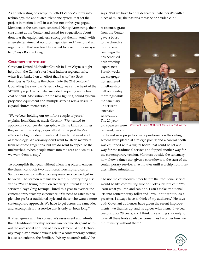As an interesting postscript to Beth-El Zedeck's foray into technology, the antiquated telephone system that set the project in motion is still in use, but not at the synagogue. Members of the tech team contacted Nancy Armstrong, their consultant at the Center, and asked for suggestions about donating the equipment. Armstrong put them in touch with a newsletter aimed at nonprofit agencies, and "we found an organization that was terribly excited to take our phone system," says Bonnie Craig.

# **COUNTDOWN TO WORSHIP**

Covenant United Methodist Church in Fort Wayne sought help from the Center's northeast Indiana regional office when it embarked on an effort that Pastor Jack Scott describes as "bringing the church into the 21st century." Upgrading the sanctuary's technology was at the heart of the \$170,000 project, which also included carpeting and a fresh coat of paint. Motivation for the new lighting, sound system, projection equipment and multiple screens was a desire to expand church membership.

"We've been holding our own for a couple of years," explains John Kratzat, music director. "We wanted to approach a younger demographic with the kinds of things they expect in worship, especially if in the past they've attended a big nondenominational church that used a lot of technology. We certainly don't want to 'steal' members from other congregations, but we do want to appeal to the unchurched. When people move into the area and visit us, we want them to stay."

To accomplish that goal without alienating older members, the church conducts two traditional worship services on Sunday mornings, with a contemporary service wedged in between. The sermon remains the same, but everything else varies. "We're trying to put on two very different kinds of services," says Greg Krempel, hired this year to oversee the contemporary worship experience. "We need to cater to people who prefer a traditional style and those who want a more contemporary approach. We have to get across the same idea and accomplish it in a service that is only an hour long."

Kratzat agrees with his colleague's assessment and admits that a traditional worship service can become stagnant without the occasional addition of a new element. While technology may play a more obvious role in a contemporary setting, it also can enhance the familiar. "We try to stretch folks," he

says. "But we have to do it delicately…whether it's with a piece of music, the pastor's message or a video clip."

A resource grant from the Center gave a boost to the church's fundraising campaign that has benefited both worship experiences. For six weeks the congregation gathered in fellowship hall on Sunday mornings while the sanctuary underwent extensive renovation. The 20-year-

old speakers were replaced; bars of



Covenant United Methodist Church in Fort Wayne

lights and new projectors were positioned on the ceiling; screens were placed at strategic points; and a control booth was equipped with a digital board that could be set one way for the traditional service and flipped another way for the contemporary version. Monitors outside the sanctuary now show a timer that gives a countdown to the start of the contemporary service: Five minutes until worship; four minutes…three minutes….

"To use the countdown timer before the traditional service would be like committing suicide," jokes Pastor Scott. "You learn what you can and can't do. I can't make traditionalists into contemporary folks; and I wouldn't want to. As a preacher, I always have to think of my audience." He says both Covenant audiences have given the recent improvements two thumbs up, and he agrees with them. "I've been pastoring for 28 years, and I think it's exciting suddenly to have all these tools available. Sometimes I wonder how we did ministry without them."

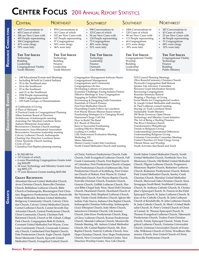# **Center Focus** 2011 Annual Report Statistics

| CENTRAL                                                                                                                                                                                                                                                                                                                                                                                                                                                                                                                                                                                                                                                                                                                                                                                                                                                                                                                  | <b>NORTHEAST</b>                                                                                                                                                                                                                                    | <b>SOUTHWEST</b>                                                                                                                                                                                                                                                                                                                                                                                                                                                                                                                                                                                                                                                                                                                                                                                                                                                                   | <b>SOUTHEAST</b>                                                                                                                                                                         | <b>NORTHWEST</b>                                                                                                                                                                                                                                                                                                                                                                                                                                                                                                                                                                                                                                                                                                                                                                                                                                                                                                                                   |  |  |
|--------------------------------------------------------------------------------------------------------------------------------------------------------------------------------------------------------------------------------------------------------------------------------------------------------------------------------------------------------------------------------------------------------------------------------------------------------------------------------------------------------------------------------------------------------------------------------------------------------------------------------------------------------------------------------------------------------------------------------------------------------------------------------------------------------------------------------------------------------------------------------------------------------------------------|-----------------------------------------------------------------------------------------------------------------------------------------------------------------------------------------------------------------------------------------------------|------------------------------------------------------------------------------------------------------------------------------------------------------------------------------------------------------------------------------------------------------------------------------------------------------------------------------------------------------------------------------------------------------------------------------------------------------------------------------------------------------------------------------------------------------------------------------------------------------------------------------------------------------------------------------------------------------------------------------------------------------------------------------------------------------------------------------------------------------------------------------------|------------------------------------------------------------------------------------------------------------------------------------------------------------------------------------------|----------------------------------------------------------------------------------------------------------------------------------------------------------------------------------------------------------------------------------------------------------------------------------------------------------------------------------------------------------------------------------------------------------------------------------------------------------------------------------------------------------------------------------------------------------------------------------------------------------------------------------------------------------------------------------------------------------------------------------------------------------------------------------------------------------------------------------------------------------------------------------------------------------------------------------------------------|--|--|
| 4437 Conversations in<br>603 Cases of which<br>$\bullet$<br>306 are New Cases with<br>495 People representing<br>304 Congregations<br>$\bullet$<br>41% were clergy<br>59% were laity<br>$\bullet$                                                                                                                                                                                                                                                                                                                                                                                                                                                                                                                                                                                                                                                                                                                        | 978 Conversations in<br>$\bullet$<br>161 Cases of which<br>$\bullet$<br>102 are New Cases with<br>$\bullet$<br>147 People representing<br>$\bullet$<br>97 Congregations<br>$\bullet$<br>54% were clergy<br>$\bullet$<br>46% were laity<br>$\bullet$ | • 998 Conversations in<br>• 125 Cases of which<br>• 94 are New Cases with<br>• 124 People representing<br>• 75 Congregations<br>48% were clergy<br>$\bullet$<br>• 52% were laity                                                                                                                                                                                                                                                                                                                                                                                                                                                                                                                                                                                                                                                                                                   | • 1004 Conversations in<br>• 120 Cases of which<br>98 are New Cases with<br>• 111 People representing<br>66 Congregations<br>$\bullet$<br>61% were clergy<br>$\bullet$<br>39% were laity | • 287 Conversations in<br>• 43 Cases of which<br>• 23 are New Cases with<br>44 People representing<br>$\bullet$<br>• 31 Congregations<br>68% were clergy<br>$\bullet$<br>32% were laity<br>$\bullet$                                                                                                                                                                                                                                                                                                                                                                                                                                                                                                                                                                                                                                                                                                                                               |  |  |
| <b>THE TOP ISSUES</b><br>Technology<br>Building<br>Leadership<br>Congregational Vitality<br>Youth Ministry                                                                                                                                                                                                                                                                                                                                                                                                                                                                                                                                                                                                                                                                                                                                                                                                               | <b>THE TOP ISSUES</b><br>Technology<br>Building<br>Finance<br>Leadership<br>Youth Ministry                                                                                                                                                          | <b>THE TOP ISSUES</b><br>Technology<br>Leadership<br>Finance<br>Outreach<br>Care Ministry                                                                                                                                                                                                                                                                                                                                                                                                                                                                                                                                                                                                                                                                                                                                                                                          | <b>THE TOP ISSUES</b><br>Congregational Vitality<br>Worship<br>Building<br>Leadership<br>Technology                                                                                      | <b>THE TOP ISSUES</b><br>Congregational Vitality<br>Technology<br>Finance<br>Building<br>Public Ministry                                                                                                                                                                                                                                                                                                                                                                                                                                                                                                                                                                                                                                                                                                                                                                                                                                           |  |  |
| 148 Educational Events and Meetings<br>$\bullet$<br>Including 46 held in Central Indiana<br>35 in the Northeast area<br>$\bullet$<br>24 in the Southwest<br>$\bullet$<br>22 in the Southeast<br>$\bullet$<br>and 21 in the Northwest<br>$\bullet$<br>2294 People representing<br>1008 Congregations from<br>105 Faith Groups or Denominations<br>A Celebration of Giving<br>A Place of Welcome<br>A Practical Guide to Congregational Planning<br>Alban Institute Board of Directors<br>Archdiocese of Indianapolis meeting<br>Assessing Our Situation Luncheon Series<br>Auburn Ministerial Association<br>Brownstown Christian Church meetings<br>Brownstown Area Ministerial Association<br>Brownstown Nazarene leadership meeting<br>Calvary Lutheran Church, Indianapolis<br>Charting Our Direction Luncheon Series<br>Christ Apostolic Church meeting<br>Circle of Care<br>Columbus First Baptist planning meeting |                                                                                                                                                                                                                                                     | Congregation Management Software Basics<br>Congregational Management<br>Congregations and Community<br>Congregations On-line<br>Developing Cultures of Generosity<br>Economic Challenges Facing Indiana Pastors<br>Effective Meetings in Your Congregation<br>Engaging in Faithful Ministry<br>Envisioning & Designing Faith Formation<br><b>Essentials of Church Finance</b><br>First Free Methodist Church<br>Flourishing Grants Follow-up Luncheon<br>Fort Wayne Rescue Mission board retreat<br>Fundraising Strategies in a Changing World<br>Hammond Clergy Call Out<br>How to Build The Band<br>ICC Board of Directors<br>Keys to Successful Fundraising<br>Leading Effective Meetings<br>Leading in Conflict<br>Lilly Endowment Evaluation Meeting<br>Marketing 101<br>Metro Ministries<br>Miami County Center Info Luncheon<br>North United Methodist Church staff meeting |                                                                                                                                                                                          | NYI Council Planning Meetings<br>Olive Branch/Centenary Christian Church<br>Plymouth Congregation Staff Retreat<br>Quaker Life Advisory Committee<br><b>Resource Grant Information Sessions</b><br>Resourcing Congregations<br>Roanoke Seminary Retreat<br>Shaping a Theology of Giving<br>Social Media for Congregational Leaders<br>St. Joseph United Methodist staff meeting<br>St. Paul Lutheran council meeting<br>Staying on Track Luncheon Series<br>Sustainable Youth Ministry<br>SW Book Giveaway Open House<br>Technology and Ministry Grant Initiative<br>The Art of Being a Healing Presence<br>The River Christian Church<br>Transformative Philanthropy<br>Trends in Religious Giving<br><b>Understanding Generational Differences</b><br>Understanding Religious Giving<br>Unitarian Universalist Committee Meeting<br>United Churches of Christ Clergy Group<br>Vibrant Music and Worship<br>Youth Activities that Reach and Teach |  |  |
| $\cdot$ \$1,542,440 for<br>• 115 Grants of which                                                                                                                                                                                                                                                                                                                                                                                                                                                                                                                                                                                                                                                                                                                                                                                                                                                                         |                                                                                                                                                                                                                                                     | of Christ, Fairlawn Presbyterian Church, Faith<br>Church, Faith Evangelical Lutheran Church, Fall                                                                                                                                                                                                                                                                                                                                                                                                                                                                                                                                                                                                                                                                                                                                                                                  |                                                                                                                                                                                          | North Salem United Methodist Church, North<br>United Methodist Church, Northside New Era                                                                                                                                                                                                                                                                                                                                                                                                                                                                                                                                                                                                                                                                                                                                                                                                                                                           |  |  |

- • 6 were Flourishing Congregations Grants totaling \$24,699
- 34 were Technology and Ministry Grants totaling \$892,175
- 75 were Resource Grants totaling \$625,566

#### **Grant Recipients**

Abundant Harvest United Methodist Church, Avon Christian Church, Batesville Christian Church, Bethlehem Lutheran Church, Bible Church of Indianapolis, Bloomington First Christian, Boggstown Presbyterian Church, Branchville United Methodist, Bremen United Methodist, Bridgeway Community Church, Calvary Christian Church, Calvary United Methodist Church, Carmel Lutheran Church, Carmel Seventh-Day Adventist Church, Central Presbyterian Church, Christ Community Church, Christian Park Reformed Church, Church at Mt. Gilead, College Park Church, Congregation Beth-El Zedeck, Covenant United Methodist Fort Wayne, Cross Lane Community Church, Crossroads Community Church, Cumberland First Baptist Church, Dale Presbyterian Church, Eagle Church, Eighth Street Mennonite Church, Epworth United Methodist Church, Evangelical United Church

Church, Faith Evangelical Lutheran Church, Fall Creek Community Church, First Baptist Church of Columbus, First Presbyterian Church of Jasper, First Presbyterian Church of Jeffersonville, First Presbyterian Church of Scottsburg, First Unitarian Church of Hobart, First Wayne St. United Methodist Church, Fort Wayne Baptist Church, Fortville Christian Church, Freedom Church, Genesis Church, Griffith Lutheran Church, Harvest Bible Chapel Indy West, Hazel Dell Christian Church, Heartland Church, Heartland Church of the Nazarene, Holy Shepherd Lutheran Church, Holy Trinity Greek Orthodox Church, Iglesia Metodista Vida Nueva, Indiana Chin Baptist Church, Indianapolis Christian Fellowship, Indianapolis Grace Ethiopian Church, Indy Metro Church, Jamestown Christian Church, Life Journey Church, John Knox Presbyterian Church, King of Glory Lutheran Church, Korean Presbyterian Church, Messiah Lutheran Church, Mooresville Friends Meeting, Mt. Auburn United Methodist Church, Mt. Carmel Baptist Church, Mt. Zion Baptist Church, Nativity Catholic Church, New Hope Christian Church, New Hope Presbyterian Church, New Covenant Christian Center, New Direction Worship Center, New Life Church,

North Salem United Methodist Church, North United Methodist Church, Northside New Era Missionary Church, Old Bethel United Methodist Church, Pilgrim Lutheran Church, Progressive Missionary Baptist Church, Redeemer Lutheran Church, Redeemer Presbyterian Church, Roberts Park United Methodist Church, Seerley Creek Christian Church, Sheridan United Methodist Church, Sherwood Oaks Christian Church, Sinai Synagogue South Bend, Southland Community Church, St. Anthony Catholic Church, St. Christopher's Episcopal Church, St. Francis-in-the-Field Episcopal Church, St. James Lutheran Church, St. Joan of Arc Catholic Church, St. John Lutheran Church of Kendallville, St. John Lutheran Church, St. Jude Catholic Church, St. Mark's United Methodist Church, St. Peter's United Church of Christ of Carmel, St. Thomas Episcopal Church, St. Thomas Evangelical Lutheran Church, Tabernacle Presbyterian Church, Traders Point Christian Church, Trinity Episcopal Church, Trinity Evangelical Lutheran Church, Unitarian Universalist Church, Unitarian Universalist Church of Evansville, Wilkinson Church of Christ, Woodburn Missionary Church, Zion United Church of Christ, Zionsville Presbyterian Church

**g**

**Educational E EDUCATIONAL EVENTS**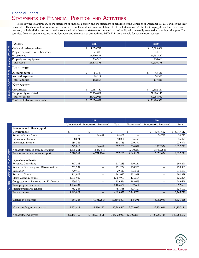# STATEMENTS OF FINANCIAL POSITION AND ACTIVITIES Financial Report

The following is a summary of the statement of financial position and the statement of activities of the Center as of December 31, 2011 and for the year then ended. This financial information was extracted from the audited financial statements of the Indianapolis Center for Congregations, Inc. It does not, however, include all disclosures normally associated with financial statements prepared in conformity with generally accepted accounting principles. The complete financial statements, including footnotes and the report of our auditors, BKD, LLP, are available for review upon request.

| <b>ASSETS</b>                     | 2011            | 2010            |
|-----------------------------------|-----------------|-----------------|
| Cash and cash equivalents         | 1,078,797<br>\$ | 5,399,869<br>\$ |
| Prepaid expenses and other assets | 21,380          | 34,469          |
| Investments                       | 24,490,401      | 24,761,422      |
| Property and equipment            | 284,313         | 210,618         |
| Total assets                      | 25,874,891      | 30,406,378      |
| <b>LIABILITIES</b>                |                 |                 |
| Accounts payable                  | \$<br>64,757    | \$<br>43,456    |
| Accrued expenses                  | 88,111          | 74,360          |
| <b>Total liabilities</b>          | 152,868         | 117,816         |
| <b>NET ASSETS</b>                 |                 |                 |
| Unrestricted                      | \$<br>2,487,162 | \$<br>2,302,417 |
| Temporarily restricted            | 23,234,861      | 27,986,145      |
| Total net assets                  | 25,722,023      | 30,288,562      |
| Total liabilities and net assets  | 25,874,891      | \$ 30,406,378   |

|                                        | 2011         |                               |               | 2010         |                               |              |
|----------------------------------------|--------------|-------------------------------|---------------|--------------|-------------------------------|--------------|
|                                        | Unrestricted | <b>Temporarily Restricted</b> | Total         | Unrestricted | <b>Temporarily Restricted</b> | Total        |
| Revenues and other support             |              |                               |               |              |                               |              |
| Contributions                          | \$           | \$                            | \$            | \$           | \$<br>8,747,612               | \$8,747,612  |
| Return of grant funds                  |              | 84,467                        | 84,467        |              | 34,722                        | 34,722       |
| <b>Educational Events</b>              | 58,071       |                               | 58,071        | 35,498       |                               | 35,498       |
| Investment income                      | 184,745      |                               | 184,745       | 279,394      |                               | 279,394      |
|                                        | 242,816      | 84,467                        | 327,283       | 314,892      | 8,782,334                     | 9,097,226    |
| Net assets released from restrictions  | 4,835,751    | (4,835,751)                   |               | 3,730,280    | (3,730,280)                   |              |
| Total revenues and other support       | 5,078,567    | (4,751,284)                   | 327,283       | 4,045,172    | 5,052,054                     | 9,097,226    |
|                                        |              |                               |               |              |                               |              |
| <b>Expenses and losses</b>             |              |                               |               |              |                               |              |
| <b>Resource Consulting</b>             | 517,283      |                               | 517,283       | 500,224      |                               | 500,224      |
| Resource Discovery and Dissemination   | 251,234      |                               | 251,234       | 258,905      |                               | 258,905      |
| Education                              | 729,410      |                               | 729,410       | 615,561      |                               | 615,561      |
| <b>Resource Grants</b>                 | 861,022      | —                             | 861,022       | 802,929      | $\overline{\phantom{0}}$      | 802,929      |
| Major Grant Initiative                 | 1,007,909    |                               | 1,007,909     | 126,394      |                               | 126,394      |
| Congregational Learning and Evaluation | 739,576      |                               | 739,576       | 788,658      |                               | 788,658      |
| Total program services                 | 4,106,434    | —                             | 4,106,434     | 3,092,671    | —                             | 3,092,671    |
| Management and general                 | 787,388      |                               | 787,388       | 673,107      |                               | 673,107      |
| Total expenses                         | 4,893,822    |                               | 4,893,822     | 3,765,778    |                               | 3,765,778    |
|                                        |              |                               |               |              |                               |              |
| Change in net assets                   | 184,745      | (4,751,284)                   | (4, 566, 539) | 279,394      | 5,052,054                     | 5,331,448    |
|                                        |              |                               |               |              |                               |              |
| Net assets, beginning of year          | 2,302,417    | 27,986,145                    | 30,288,562    | 2,023,023    | 22,934,091                    | 24,957,114   |
|                                        |              |                               |               |              |                               |              |
| Net assets, end of year                | \$2,487,162  | 23,234,861<br>$\mathbb{S}^-$  | \$25,722,023  | \$2,302,417  | 27,986,145<br>$\mathfrak{S}$  | \$30,288,562 |



Summary Statement of

SUMMARY STATEMENT OF ACTIVITIES

**A**ctivities